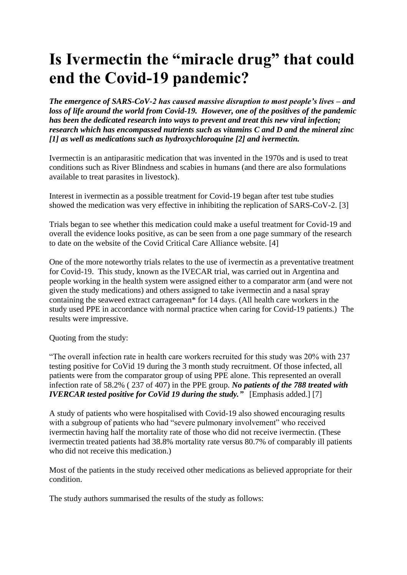## **Is Ivermectin the "miracle drug" that could end the Covid-19 pandemic?**

*The emergence of SARS-CoV-2 has caused massive disruption to most people's lives – and loss of life around the world from Covid-19. However, one of the positives of the pandemic has been the dedicated research into ways to prevent and treat this new viral infection; research which has encompassed nutrients such as vitamins C and D and the mineral zinc [1] as well as medications such as hydroxychloroquine [2] and ivermectin.*

Ivermectin is an antiparasitic medication that was invented in the 1970s and is used to treat conditions such as River Blindness and scabies in humans (and there are also formulations available to treat parasites in livestock).

Interest in ivermectin as a possible treatment for Covid-19 began after test tube studies showed the medication was very effective in inhibiting the replication of SARS-CoV-2. [3]

Trials began to see whether this medication could make a useful treatment for Covid-19 and overall the evidence looks positive, as can be seen from a one page summary of the research to date on the website of the Covid Critical Care Alliance website. [4]

One of the more noteworthy trials relates to the use of ivermectin as a preventative treatment for Covid-19. This study, known as the IVECAR trial, was carried out in Argentina and people working in the health system were assigned either to a comparator arm (and were not given the study medications) and others assigned to take ivermectin and a nasal spray containing the seaweed extract carrageenan\* for 14 days. (All health care workers in the study used PPE in accordance with normal practice when caring for Covid-19 patients.) The results were impressive.

Quoting from the study:

"The overall infection rate in health care workers recruited for this study was 20% with 237 testing positive for CoVid 19 during the 3 month study recruitment. Of those infected, all patients were from the comparator group of using PPE alone. This represented an overall infection rate of 58.2% ( 237 of 407) in the PPE group. *No patients of the 788 treated with IVERCAR tested positive for CoVid 19 during the study.*" [Emphasis added.] [7]

A study of patients who were hospitalised with Covid-19 also showed encouraging results with a subgroup of patients who had "severe pulmonary involvement" who received ivermectin having half the mortality rate of those who did not receive ivermectin. (These ivermectin treated patients had 38.8% mortality rate versus 80.7% of comparably ill patients who did not receive this medication.)

Most of the patients in the study received other medications as believed appropriate for their condition.

The study authors summarised the results of the study as follows: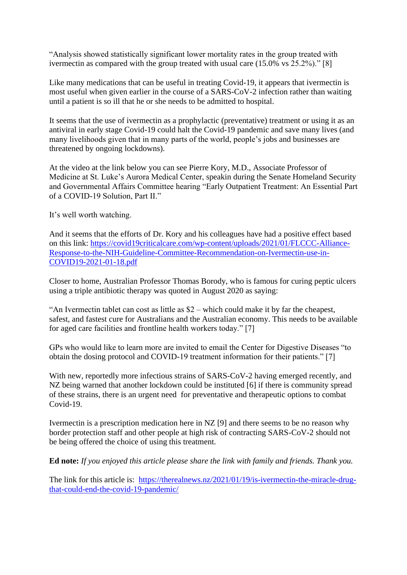"Analysis showed statistically significant lower mortality rates in the group treated with ivermectin as compared with the group treated with usual care (15.0% vs 25.2%)." [8]

Like many medications that can be useful in treating Covid-19, it appears that ivermectin is most useful when given earlier in the course of a SARS-CoV-2 infection rather than waiting until a patient is so ill that he or she needs to be admitted to hospital.

It seems that the use of ivermectin as a prophylactic (preventative) treatment or using it as an antiviral in early stage Covid-19 could halt the Covid-19 pandemic and save many lives (and many livelihoods given that in many parts of the world, people's jobs and businesses are threatened by ongoing lockdowns).

At the video at the link below you can see Pierre Kory, M.D., Associate Professor of Medicine at St. Luke's Aurora Medical Center, speakin during the Senate Homeland Security and Governmental Affairs Committee hearing "Early Outpatient Treatment: An Essential Part of a COVID-19 Solution, Part II."

It's well worth watching.

And it seems that the efforts of Dr. Kory and his colleagues have had a positive effect based on this link: [https://covid19criticalcare.com/wp-content/uploads/2021/01/FLCCC-Alliance-](https://covid19criticalcare.com/wp-content/uploads/2021/01/FLCCC-Alliance-Response-to-the-NIH-Guideline-Committee-Recommendation-on-Ivermectin-use-in-COVID19-2021-01-18.pdf)[Response-to-the-NIH-Guideline-Committee-Recommendation-on-Ivermectin-use-in-](https://covid19criticalcare.com/wp-content/uploads/2021/01/FLCCC-Alliance-Response-to-the-NIH-Guideline-Committee-Recommendation-on-Ivermectin-use-in-COVID19-2021-01-18.pdf)[COVID19-2021-01-18.pdf](https://covid19criticalcare.com/wp-content/uploads/2021/01/FLCCC-Alliance-Response-to-the-NIH-Guideline-Committee-Recommendation-on-Ivermectin-use-in-COVID19-2021-01-18.pdf)

Closer to home, Australian Professor Thomas Borody, who is famous for curing peptic ulcers using a triple antibiotic therapy was quoted in August 2020 as saying:

"An Ivermectin tablet can cost as little as \$2 – which could make it by far the cheapest, safest, and fastest cure for Australians and the Australian economy. This needs to be available for aged care facilities and frontline health workers today." [7]

GPs who would like to learn more are invited to email the Center for Digestive Diseases "to obtain the dosing protocol and COVID-19 treatment information for their patients." [7]

With new, reportedly more infectious strains of SARS-CoV-2 having emerged recently, and NZ being warned that another lockdown could be instituted [6] if there is community spread of these strains, there is an urgent need for preventative and therapeutic options to combat Covid-19.

Ivermectin is a prescription medication here in NZ [9] and there seems to be no reason why border protection staff and other people at high risk of contracting SARS-CoV-2 should not be being offered the choice of using this treatment.

**Ed note:** *If you enjoyed this article please share the link with family and friends. Thank you.*

The link for this article is: [https://therealnews.nz/2021/01/19/is-ivermectin-the-miracle-drug](https://therealnews.nz/2021/01/19/is-ivermectin-the-miracle-drug-that-could-end-the-covid-19-pandemic/)[that-could-end-the-covid-19-pandemic/](https://therealnews.nz/2021/01/19/is-ivermectin-the-miracle-drug-that-could-end-the-covid-19-pandemic/)